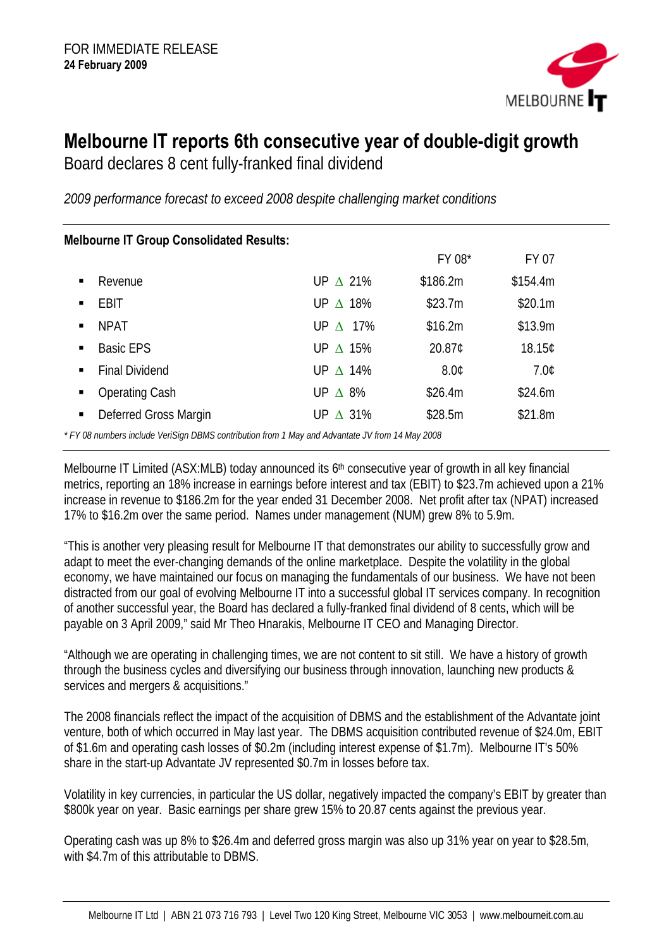

# **Melbourne IT reports 6th consecutive year of double-digit growth**

Board declares 8 cent fully-franked final dividend

*2009 performance forecast to exceed 2008 despite challenging market conditions* 

| <b>Melbourne IT Group Consolidated Results:</b>                                                 |                    |          |          |  |
|-------------------------------------------------------------------------------------------------|--------------------|----------|----------|--|
|                                                                                                 |                    | FY 08*   | FY 07    |  |
| Revenue<br>п                                                                                    | UP $\triangle$ 21% | \$186.2m | \$154.4m |  |
| <b>EBIT</b><br>٠                                                                                | UP $\triangle$ 18% | \$23.7m  | \$20.1m  |  |
| <b>NPAT</b><br>п                                                                                | 17%<br>UP $\Delta$ | \$16.2m  | \$13.9m  |  |
| <b>Basic EPS</b><br>п                                                                           | UP $\triangle$ 15% | 20.87¢   | 18.15¢   |  |
| <b>Final Dividend</b><br>٠                                                                      | UP $\triangle$ 14% | $8.0$ ¢  | $7.0$ ¢  |  |
| Operating Cash<br>٠                                                                             | UP $\triangle$ 8%  | \$26.4m  | \$24.6m  |  |
| Deferred Gross Margin<br>Ξ                                                                      | UP $\triangle$ 31% | \$28.5m  | \$21.8m  |  |
| * FY 08 numbers include VeriSign DBMS contribution from 1 May and Advantate JV from 14 May 2008 |                    |          |          |  |

Melbourne IT Limited (ASX:MLB) today announced its  $6<sup>th</sup>$  consecutive year of growth in all key financial metrics, reporting an 18% increase in earnings before interest and tax (EBIT) to \$23.7m achieved upon a 21% increase in revenue to \$186.2m for the year ended 31 December 2008. Net profit after tax (NPAT) increased 17% to \$16.2m over the same period. Names under management (NUM) grew 8% to 5.9m.

"This is another very pleasing result for Melbourne IT that demonstrates our ability to successfully grow and adapt to meet the ever-changing demands of the online marketplace. Despite the volatility in the global economy, we have maintained our focus on managing the fundamentals of our business. We have not been distracted from our goal of evolving Melbourne IT into a successful global IT services company. In recognition of another successful year, the Board has declared a fully-franked final dividend of 8 cents, which will be payable on 3 April 2009," said Mr Theo Hnarakis, Melbourne IT CEO and Managing Director.

"Although we are operating in challenging times, we are not content to sit still. We have a history of growth through the business cycles and diversifying our business through innovation, launching new products & services and mergers & acquisitions."

The 2008 financials reflect the impact of the acquisition of DBMS and the establishment of the Advantate joint venture, both of which occurred in May last year. The DBMS acquisition contributed revenue of \$24.0m, EBIT of \$1.6m and operating cash losses of \$0.2m (including interest expense of \$1.7m). Melbourne IT's 50% share in the start-up Advantate JV represented \$0.7m in losses before tax.

Volatility in key currencies, in particular the US dollar, negatively impacted the company's EBIT by greater than \$800k year on year. Basic earnings per share grew 15% to 20.87 cents against the previous year.

Operating cash was up 8% to \$26.4m and deferred gross margin was also up 31% year on year to \$28.5m, with \$4.7m of this attributable to DBMS.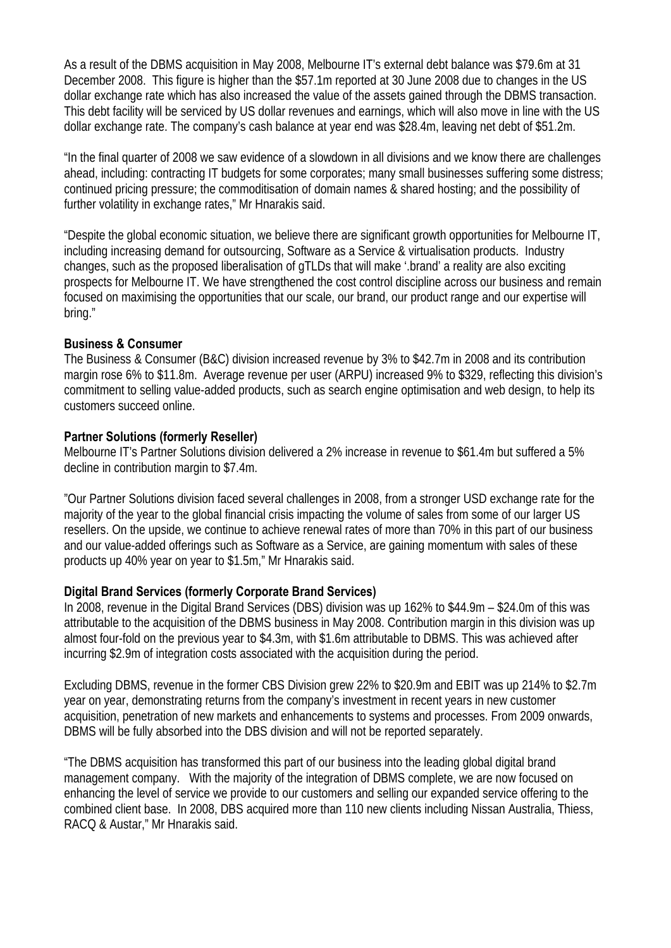As a result of the DBMS acquisition in May 2008, Melbourne IT's external debt balance was \$79.6m at 31 December 2008. This figure is higher than the \$57.1m reported at 30 June 2008 due to changes in the US dollar exchange rate which has also increased the value of the assets gained through the DBMS transaction. This debt facility will be serviced by US dollar revenues and earnings, which will also move in line with the US dollar exchange rate. The company's cash balance at year end was \$28.4m, leaving net debt of \$51.2m.

"In the final quarter of 2008 we saw evidence of a slowdown in all divisions and we know there are challenges ahead, including: contracting IT budgets for some corporates; many small businesses suffering some distress; continued pricing pressure; the commoditisation of domain names & shared hosting; and the possibility of further volatility in exchange rates," Mr Hnarakis said.

"Despite the global economic situation, we believe there are significant growth opportunities for Melbourne IT, including increasing demand for outsourcing, Software as a Service & virtualisation products. Industry changes, such as the proposed liberalisation of gTLDs that will make '.brand' a reality are also exciting prospects for Melbourne IT. We have strengthened the cost control discipline across our business and remain focused on maximising the opportunities that our scale, our brand, our product range and our expertise will bring."

#### **Business & Consumer**

The Business & Consumer (B&C) division increased revenue by 3% to \$42.7m in 2008 and its contribution margin rose 6% to \$11.8m. Average revenue per user (ARPU) increased 9% to \$329, reflecting this division's commitment to selling value-added products, such as search engine optimisation and web design, to help its customers succeed online.

## **Partner Solutions (formerly Reseller)**

Melbourne IT's Partner Solutions division delivered a 2% increase in revenue to \$61.4m but suffered a 5% decline in contribution margin to \$7.4m.

"Our Partner Solutions division faced several challenges in 2008, from a stronger USD exchange rate for the majority of the year to the global financial crisis impacting the volume of sales from some of our larger US resellers. On the upside, we continue to achieve renewal rates of more than 70% in this part of our business and our value-added offerings such as Software as a Service, are gaining momentum with sales of these products up 40% year on year to \$1.5m," Mr Hnarakis said.

## **Digital Brand Services (formerly Corporate Brand Services)**

In 2008, revenue in the Digital Brand Services (DBS) division was up 162% to \$44.9m – \$24.0m of this was attributable to the acquisition of the DBMS business in May 2008. Contribution margin in this division was up almost four-fold on the previous year to \$4.3m, with \$1.6m attributable to DBMS. This was achieved after incurring \$2.9m of integration costs associated with the acquisition during the period.

Excluding DBMS, revenue in the former CBS Division grew 22% to \$20.9m and EBIT was up 214% to \$2.7m year on year, demonstrating returns from the company's investment in recent years in new customer acquisition, penetration of new markets and enhancements to systems and processes. From 2009 onwards, DBMS will be fully absorbed into the DBS division and will not be reported separately.

"The DBMS acquisition has transformed this part of our business into the leading global digital brand management company. With the majority of the integration of DBMS complete, we are now focused on enhancing the level of service we provide to our customers and selling our expanded service offering to the combined client base. In 2008, DBS acquired more than 110 new clients including Nissan Australia, Thiess, RACQ & Austar," Mr Hnarakis said.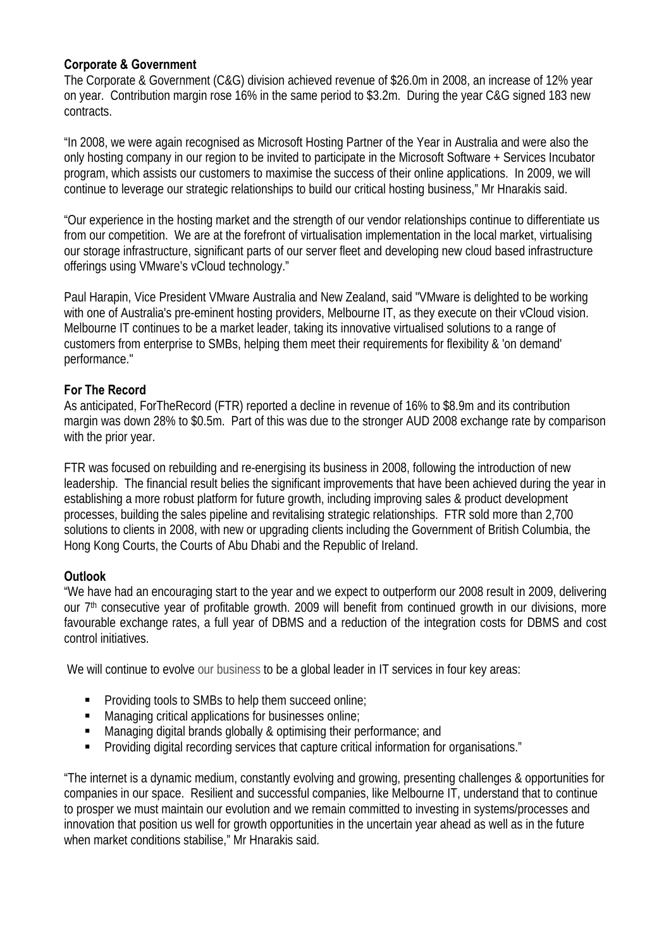## **Corporate & Government**

The Corporate & Government (C&G) division achieved revenue of \$26.0m in 2008, an increase of 12% year on year. Contribution margin rose 16% in the same period to \$3.2m. During the year C&G signed 183 new contracts.

"In 2008, we were again recognised as Microsoft Hosting Partner of the Year in Australia and were also the only hosting company in our region to be invited to participate in the Microsoft Software + Services Incubator program, which assists our customers to maximise the success of their online applications. In 2009, we will continue to leverage our strategic relationships to build our critical hosting business," Mr Hnarakis said.

"Our experience in the hosting market and the strength of our vendor relationships continue to differentiate us from our competition. We are at the forefront of virtualisation implementation in the local market, virtualising our storage infrastructure, significant parts of our server fleet and developing new cloud based infrastructure offerings using VMware's vCloud technology."

Paul Harapin, Vice President VMware Australia and New Zealand, said "VMware is delighted to be working with one of Australia's pre-eminent hosting providers, Melbourne IT, as they execute on their vCloud vision. Melbourne IT continues to be a market leader, taking its innovative virtualised solutions to a range of customers from enterprise to SMBs, helping them meet their requirements for flexibility & 'on demand' performance."

# **For The Record**

As anticipated, ForTheRecord (FTR) reported a decline in revenue of 16% to \$8.9m and its contribution margin was down 28% to \$0.5m. Part of this was due to the stronger AUD 2008 exchange rate by comparison with the prior year.

FTR was focused on rebuilding and re-energising its business in 2008, following the introduction of new leadership. The financial result belies the significant improvements that have been achieved during the year in establishing a more robust platform for future growth, including improving sales & product development processes, building the sales pipeline and revitalising strategic relationships. FTR sold more than 2,700 solutions to clients in 2008, with new or upgrading clients including the Government of British Columbia, the Hong Kong Courts, the Courts of Abu Dhabi and the Republic of Ireland.

## **Outlook**

"We have had an encouraging start to the year and we expect to outperform our 2008 result in 2009, delivering our 7<sup>th</sup> consecutive year of profitable growth. 2009 will benefit from continued growth in our divisions, more favourable exchange rates, a full year of DBMS and a reduction of the integration costs for DBMS and cost control initiatives.

We will continue to evolve our business to be a global leader in IT services in four key areas:

- **Providing tools to SMBs to help them succeed online;**
- **Managing critical applications for businesses online;**
- Managing digital brands globally & optimising their performance; and
- Providing digital recording services that capture critical information for organisations."

"The internet is a dynamic medium, constantly evolving and growing, presenting challenges & opportunities for companies in our space. Resilient and successful companies, like Melbourne IT, understand that to continue to prosper we must maintain our evolution and we remain committed to investing in systems/processes and innovation that position us well for growth opportunities in the uncertain year ahead as well as in the future when market conditions stabilise," Mr Hnarakis said.